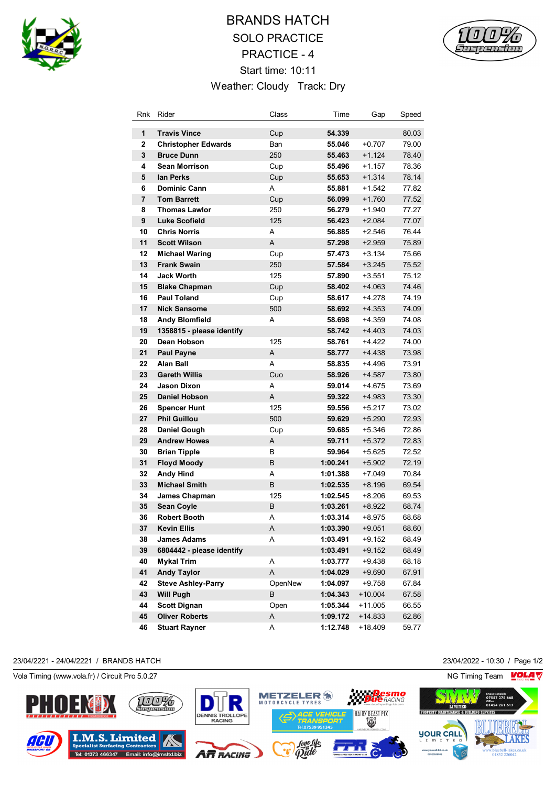

# BRANDS HATCH SOLO PRACTICE PRACTICE - 4 Start time: 10:11 Weather: Cloudy Track: Dry



| Rnk            | Rider                      | Class   | Time     | Gap       | Speed |
|----------------|----------------------------|---------|----------|-----------|-------|
| 1              | <b>Travis Vince</b>        | Cup     | 54.339   |           | 80.03 |
| $\overline{2}$ | <b>Christopher Edwards</b> | Ban     | 55.046   | $+0.707$  | 79.00 |
| 3              | <b>Bruce Dunn</b>          | 250     | 55.463   | $+1.124$  | 78.40 |
| 4              | Sean Morrison              | Cup     | 55.496   | $+1.157$  | 78.36 |
| 5              | lan Perks                  | Cup     | 55.653   | $+1.314$  | 78.14 |
| 6              | <b>Dominic Cann</b>        | A       | 55.881   | $+1.542$  | 77.82 |
| 7              | <b>Tom Barrett</b>         | Cup     | 56.099   | $+1.760$  | 77.52 |
| 8              | <b>Thomas Lawlor</b>       | 250     | 56.279   | +1.940    | 77.27 |
| 9              | Luke Scofield              | 125     | 56.423   | $+2.084$  | 77.07 |
| 10             | <b>Chris Norris</b>        | A       | 56.885   | $+2.546$  | 76.44 |
| 11             | <b>Scott Wilson</b>        | A       | 57.298   | $+2.959$  | 75.89 |
| 12             | <b>Michael Waring</b>      | Cup     | 57.473   | +3.134    | 75.66 |
| 13             | <b>Frank Swain</b>         | 250     | 57.584   | $+3.245$  | 75.52 |
| 14             | <b>Jack Worth</b>          | 125     | 57.890   | +3.551    | 75.12 |
| 15             | <b>Blake Chapman</b>       | Cup     | 58.402   | $+4.063$  | 74.46 |
| 16             | <b>Paul Toland</b>         | Cup     | 58.617   | +4.278    | 74.19 |
| 17             | <b>Nick Sansome</b>        | 500     | 58.692   | $+4.353$  | 74.09 |
| 18             | <b>Andy Blomfield</b>      | A       | 58.698   | $+4.359$  | 74.08 |
| 19             | 1358815 - please identify  |         | 58.742   | $+4.403$  | 74.03 |
| 20             | Dean Hobson                | 125     | 58.761   | $+4.422$  | 74.00 |
| 21             | <b>Paul Payne</b>          | A       | 58.777   | $+4.438$  | 73.98 |
| 22             | <b>Alan Ball</b>           | A       | 58.835   | +4.496    | 73.91 |
| 23             | <b>Gareth Willis</b>       | Cuo     | 58.926   | +4.587    | 73.80 |
| 24             | Jason Dixon                | A       | 59.014   | +4.675    | 73.69 |
| 25             | <b>Daniel Hobson</b>       | A       | 59.322   | +4.983    | 73.30 |
| 26             | <b>Spencer Hunt</b>        | 125     | 59.556   | +5.217    | 73.02 |
| 27             | <b>Phil Guillou</b>        | 500     | 59.629   | $+5.290$  | 72.93 |
| 28             | Daniel Gough               | Cup     | 59.685   | +5.346    | 72.86 |
| 29             | <b>Andrew Howes</b>        | Α       | 59.711   | +5.372    | 72.83 |
| 30             | <b>Brian Tipple</b>        | В       | 59.964   | +5.625    | 72.52 |
| 31             | <b>Floyd Moody</b>         | B       | 1:00.241 | +5.902    | 72.19 |
| 32             | <b>Andy Hind</b>           | A       | 1:01.388 | +7.049    | 70.84 |
| 33             | <b>Michael Smith</b>       | B       | 1:02.535 | +8.196    | 69.54 |
| 34             | James Chapman              | 125     | 1:02.545 | $+8.206$  | 69.53 |
| 35             | <b>Sean Coyle</b>          | B       | 1:03.261 | +8.922    | 68.74 |
| 36             | <b>Robert Booth</b>        | A       | 1:03.314 | +8.975    | 68.68 |
| 37             | <b>Kevin Ellis</b>         | Α       | 1:03.390 | $+9.051$  | 68.60 |
| 38             | <b>James Adams</b>         | A       | 1:03.491 | $+9.152$  | 68.49 |
| 39             | 6804442 - please identify  |         | 1:03.491 | $+9.152$  | 68.49 |
| 40             | <b>Mykal Trim</b>          | Α       | 1:03.777 | +9.438    | 68.18 |
| 41             | <b>Andy Taylor</b>         | Α       | 1:04.029 | +9.690    | 67.91 |
| 42             | <b>Steve Ashley-Parry</b>  | OpenNew | 1:04.097 | $+9.758$  | 67.84 |
| 43             | <b>Will Pugh</b>           | B       | 1:04.343 | $+10.004$ | 67.58 |
| 44             | <b>Scott Dignan</b>        | Open    | 1:05.344 | +11.005   | 66.55 |
| 45             | <b>Oliver Roberts</b>      | Α       | 1:09.172 | $+14.833$ | 62.86 |
| 46             | <b>Stuart Rayner</b>       | Α       | 1:12.748 | +18.409   | 59.77 |

#### 23/04/2221 - 24/04/2221 / BRANDS HATCH 23/04/2022 - 10:30 / Page 1/2

Vola Timing (www.vola.fr) / Circuit Pro 5.0.27 NG Timing Team NG Timing Team NG Timing Team NG Timing Team NG

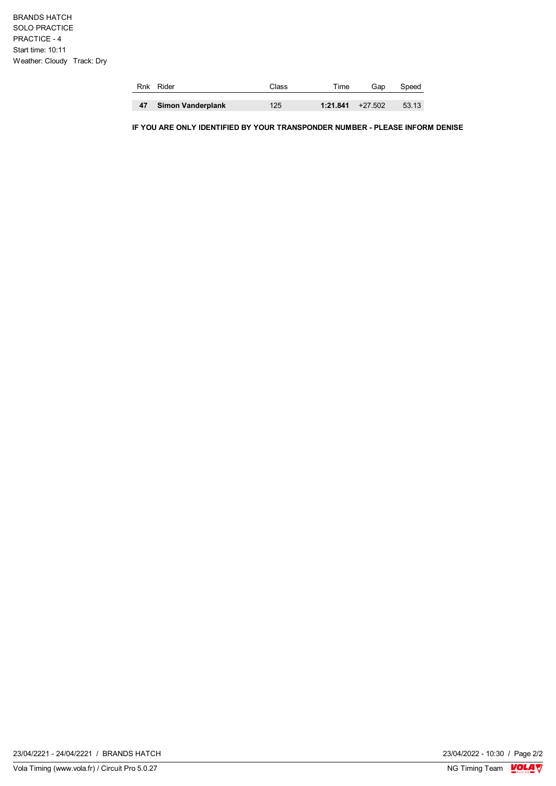|    | Rnk Rider                | Class | ™e                  | Gap | Speed |
|----|--------------------------|-------|---------------------|-----|-------|
|    |                          |       |                     |     |       |
| 47 | <b>Simon Vanderplank</b> | 125   | $1:21.841 + 27.502$ |     | 53.13 |

**IF YOU ARE ONLY IDENTIFIED BY YOUR TRANSPONDER NUMBER - PLEASE INFORM DENISE**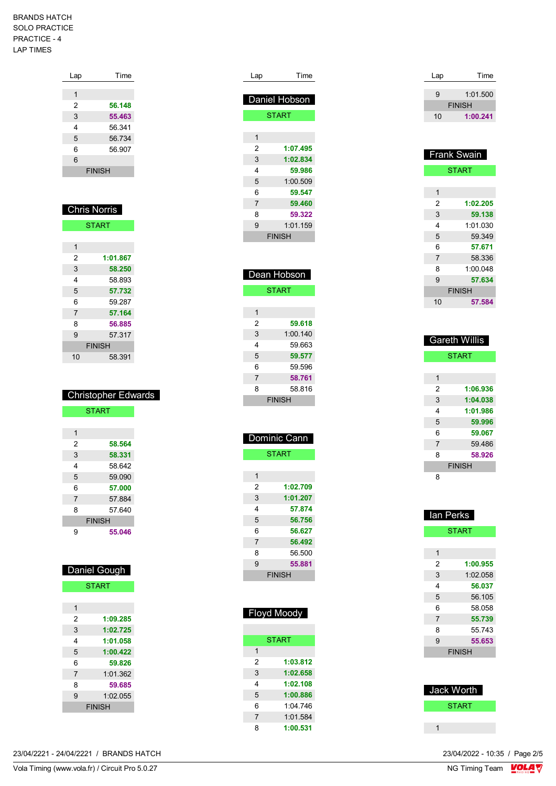| Lap | Time          |
|-----|---------------|
|     |               |
| 1   |               |
| 2   | 56.148        |
| 3   | 55.463        |
| 4   | 56.341        |
| 5   | 56.734        |
| 6   | 56.907        |
| 6   |               |
|     | <b>FINISH</b> |
|     |               |

| <b>Chris Norris</b> |               |  |
|---------------------|---------------|--|
|                     | <b>START</b>  |  |
|                     |               |  |
| 1                   |               |  |
| 2                   | 1:01.867      |  |
| 3                   | 58.250        |  |
| 4                   | 58 893        |  |
| 5                   | 57.732        |  |
| 6                   | 59.287        |  |
| $\overline{7}$      | 57.164        |  |
| 8                   | 56.885        |  |
| 9                   | 57.317        |  |
|                     | <b>FINISH</b> |  |
| 10                  | 58.391        |  |

|   | <b>Christopher Edwards</b> |
|---|----------------------------|
|   | <b>START</b>               |
|   |                            |
| 1 |                            |
| 2 | 58.564                     |
| 3 | 58.331                     |
| 4 | 58.642                     |
| 5 | 59.090                     |
| 6 | 57.000                     |
| 7 | 57.884                     |
| 8 | 57 640                     |
|   | <b>FINISH</b>              |
| 9 | 55.046                     |

| <b>Daniel Gough</b> |  |
|---------------------|--|

| <b>START</b> |
|--------------|
|--------------|

| 1              |               |
|----------------|---------------|
| 2              | 1:09.285      |
| 3              | 1:02.725      |
| 4              | 1:01.058      |
| 5              | 1:00.422      |
| 6              | 59.826        |
| $\overline{7}$ | 1:01.362      |
| 8              | 59.685        |
| 9              | 1:02.055      |
|                | <b>FINISH</b> |
|                |               |

| 1:00.422 |
|----------|
| 59.826   |
| 1:01.362 |
| 59.685   |
| 1:02.055 |
| SН       |
|          |

| Lap                     | Time          |
|-------------------------|---------------|
|                         | Daniel Hobson |
|                         | <b>START</b>  |
|                         |               |
| $\overline{\mathbf{1}}$ |               |
| $\overline{2}$          | 1:07.495      |
| 3                       | 1:02.834      |
| 4                       | 59.986        |
| 5                       | 1:00.509      |
| 6                       | 59.547        |
| 7                       | 59.460        |
| 8                       | 59.322        |
| 9                       | 1:01.159      |
|                         | <b>FINISH</b> |
|                         |               |
|                         |               |
|                         |               |
|                         | Dean Hobson   |
|                         | <b>START</b>  |
|                         |               |
| 1                       |               |
| 2                       | 59.618        |
| 3                       | 1:00.140      |
| 4                       | 59.663        |
| 5                       | 59.577        |
| 6                       | 59.596        |
| $\overline{7}$          | 58.761        |
| 8                       | 58.816        |
|                         | <b>FINISH</b> |
|                         |               |
|                         |               |
|                         | Dominic Cann  |
|                         |               |
|                         | <b>START</b>  |
|                         |               |
| 1                       |               |
| 2                       | 1:02.709      |
| 3                       | 1:01.207      |
| 4                       | 57.874        |
| 5                       | 56.756        |
| 6                       | 56.627        |
| 7                       | 56.492        |
| 8                       | 56.500        |
| 9                       | 55.881        |
|                         | <b>FINISH</b> |
|                         |               |
|                         |               |
|                         |               |

|                | <b>Floyd Moody</b> |
|----------------|--------------------|
|                |                    |
|                | <b>START</b>       |
| 1              |                    |
| $\mathcal{P}$  | 1:03.812           |
| 3              | 1:02.658           |
| 4              | 1:02.108           |
| 5              | 1:00.886           |
| 6              | 1.04746            |
| $\overline{7}$ | 1:01.584           |
| ጸ              | 1:00.531           |

| Lap | Time          |
|-----|---------------|
|     |               |
| 9   | 1:01.500      |
|     | <b>FINISH</b> |
| 10  | 1:00.241      |
|     |               |

| <b>Frank Swain</b> |              |
|--------------------|--------------|
|                    | <b>START</b> |
|                    |              |
| 1                  |              |
| 2                  | 1:02.205     |
| 3                  | 59.138       |
| 4                  | 1:01.030     |
| 5                  | 59.349       |
| 6                  | 57.671       |
| $\overline{7}$     | 58.336       |
| 8                  | 1:00.048     |
| 9                  | 57.634       |
| <b>FINISH</b>      |              |
| 10                 | 57.584       |

| <b>Gareth Willis</b> |              |  |
|----------------------|--------------|--|
|                      | <b>START</b> |  |
|                      |              |  |
| 1                    |              |  |
| 2                    | 1:06.936     |  |
| 3                    | 1:04.038     |  |
| 4                    | 1:01.986     |  |
| 5                    | 59.996       |  |
| 6                    | 59.067       |  |
| 7                    | 59.486       |  |
| 8                    | 58.926       |  |
| <b>FINISH</b>        |              |  |
| 8                    |              |  |

| lan Perks      |              |  |  |
|----------------|--------------|--|--|
|                | <b>START</b> |  |  |
|                |              |  |  |
| 1              |              |  |  |
| 2              | 1:00.955     |  |  |
| 3              | 1:02.058     |  |  |
| 4              | 56.037       |  |  |
| 5              | 56.105       |  |  |
| 6              | 58.058       |  |  |
| $\overline{7}$ | 55.739       |  |  |
| 8              | 55.743       |  |  |
| 9              | 55.653       |  |  |
| <b>FINISH</b>  |              |  |  |
|                |              |  |  |

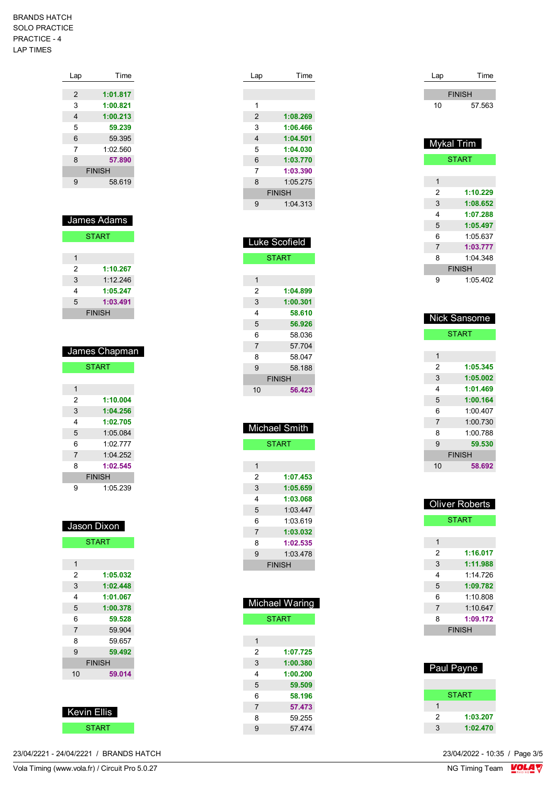| Lap           | Time     |  |
|---------------|----------|--|
|               |          |  |
| 2             | 1:01.817 |  |
| 3             | 1:00.821 |  |
| 4             | 1:00.213 |  |
| 5             | 59.239   |  |
| 6             | 59.395   |  |
| 7             | 1.02560  |  |
| 8             | 57.890   |  |
| <b>FINISH</b> |          |  |
| 9             | 58.619   |  |
|               |          |  |

| James Adams   |          |  |
|---------------|----------|--|
| <b>START</b>  |          |  |
|               |          |  |
| 1             |          |  |
| 2             | 1:10.267 |  |
| 3             | 1.12246  |  |
| 4             | 1:05.247 |  |
| 5             | 1:03.491 |  |
| <b>FINISH</b> |          |  |

|               | James Chapman |  |  |
|---------------|---------------|--|--|
|               | <b>START</b>  |  |  |
|               |               |  |  |
| 1             |               |  |  |
| 2             | 1:10.004      |  |  |
| 3             | 1:04.256      |  |  |
| 4             | 1:02.705      |  |  |
| 5             | 1:05.084      |  |  |
| 6             | 1.02 777      |  |  |
| 7             | 1:04.252      |  |  |
| 8             | 1:02.545      |  |  |
| <b>FINISH</b> |               |  |  |
| 9             | 1:05 239      |  |  |

| Jason Dixon    |              |  |
|----------------|--------------|--|
|                | <b>START</b> |  |
|                |              |  |
| 1              |              |  |
| 2              | 1:05.032     |  |
| 3              | 1:02.448     |  |
| 4              | 1:01.067     |  |
| 5              | 1:00.378     |  |
| 6              | 59.528       |  |
| $\overline{7}$ | 59.904       |  |
| 8              | 59.657       |  |
| 9              | 59.492       |  |
| <b>FINISH</b>  |              |  |
| 10             | 59.014       |  |
|                |              |  |



23/04/2221 - 24/04/2221 / BRANDS HATCH

| Lap | Time          |
|-----|---------------|
|     |               |
|     |               |
| 1   |               |
| 2   | 1:08.269      |
| 3   | 1:06.466      |
| 4   | 1:04.501      |
| 5   | 1:04.030      |
| 6   | 1:03.770      |
| 7   | 1:03.390      |
| 8   | 1:05.275      |
|     | <b>FINISH</b> |
| 9   | 1:04.313      |
|     |               |

| uke Scofield<br>I |               |  |
|-------------------|---------------|--|
|                   | <b>START</b>  |  |
|                   |               |  |
| 1                 |               |  |
| $\overline{2}$    | 1:04.899      |  |
| 3                 | 1:00.301      |  |
| 4                 | 58.610        |  |
| 5                 | 56.926        |  |
| 6                 | 58.036        |  |
| $\overline{7}$    | 57.704        |  |
| 8                 | 58.047        |  |
| 9                 | 58.188        |  |
|                   | <b>FINISH</b> |  |
| 10                | 56.423        |  |
|                   |               |  |
|                   |               |  |
|                   | Michael Smith |  |
| <b>START</b>      |               |  |
|                   |               |  |
| $\mathbf{1}$      |               |  |
| $\overline{2}$    | 1:07.453      |  |
| 3                 | 1:05.659      |  |
| 4                 | 1:03.068      |  |
| 5                 | 1:03.447      |  |
| 6                 | 1:03.619      |  |
|                   |               |  |

| 5              | 1:03.447     |  |
|----------------|--------------|--|
| 6              | 1:03.619     |  |
| 7              | 1:03.032     |  |
| 8              | 1:02.535     |  |
| 9              | 1:03.478     |  |
| <b>FINISH</b>  |              |  |
|                |              |  |
|                |              |  |
|                |              |  |
| $\lambda$ ioho | M<br>$A$ rin |  |

|                | iviichael vvaring |  |
|----------------|-------------------|--|
| <b>START</b>   |                   |  |
|                |                   |  |
| 1              |                   |  |
| 2              | 1:07.725          |  |
| 3              | 1:00.380          |  |
| 4              | 1:00.200          |  |
| 5              | 59.509            |  |
| 6              | 58.196            |  |
| $\overline{7}$ | 57.473            |  |
| 8              | 59 255            |  |
| 9              | 57 474            |  |
|                |                   |  |

| Lap | Time          |  |  |
|-----|---------------|--|--|
|     | <b>FINISH</b> |  |  |
| 10  | 57.563        |  |  |

| Mykal Trim    |              |
|---------------|--------------|
|               | <b>START</b> |
|               |              |
| 1             |              |
| 2             | 1:10.229     |
| 3             | 1:08.652     |
| 4             | 1:07.288     |
| 5             | 1:05.497     |
| 6             | 1:05.637     |
| 7             | 1:03.777     |
| 8             | 1:04 348     |
| <b>FINISH</b> |              |
| 9             | 1:05.402     |

| <b>Nick Sansome</b> |          |
|---------------------|----------|
| <b>START</b>        |          |
|                     |          |
| 1                   |          |
| 2                   | 1:05.345 |
| 3                   | 1:05.002 |
| 4                   | 1:01.469 |
| 5                   | 1:00.164 |
| 6                   | 1.00407  |
| $\overline{7}$      | 1:00.730 |
| 8                   | 1:00 788 |
| 9                   | 59.530   |
| <b>FINISH</b>       |          |
| 10                  | 58.692   |

| <b>Oliver Roberts</b> |          |  |
|-----------------------|----------|--|
| <b>START</b>          |          |  |
|                       |          |  |
| 1                     |          |  |
| 2                     | 1:16.017 |  |
| 3                     | 1:11.988 |  |
| 4                     | 1.14726  |  |
| 5                     | 1:09.782 |  |
| 6                     | 1:10.808 |  |
| 7                     | 1:10.647 |  |
| 8                     | 1:09.172 |  |
| <b>FINISH</b>         |          |  |
|                       |          |  |

| <b>Paul Payne</b> |  |  |
|-------------------|--|--|
|                   |  |  |
| START             |  |  |
| 1                 |  |  |
| 1:03.207<br>2     |  |  |
| 1:02.470<br>3     |  |  |

23/04/2022 - 10:35 / Page 3/5<br>NG Timing Team  $\frac{\text{VOLA}}{\text{V}}$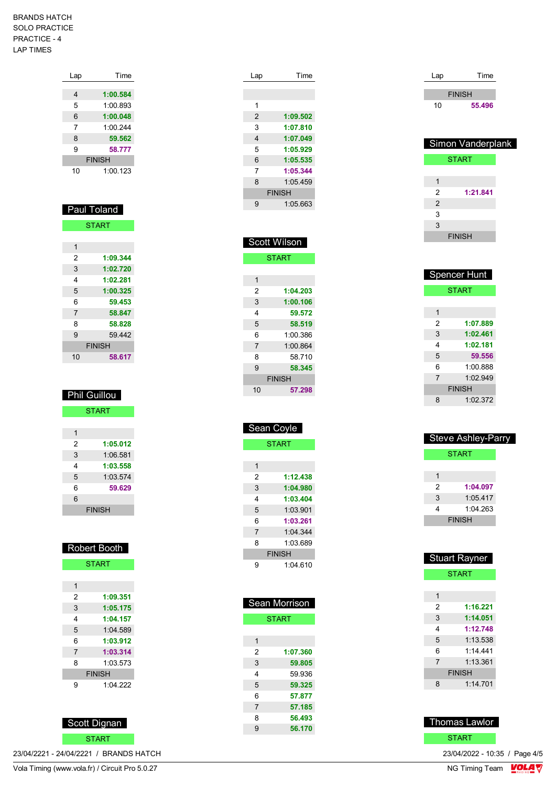| Lap           | Time     |  |
|---------------|----------|--|
|               |          |  |
| 4             | 1:00.584 |  |
| 5             | 1:00.893 |  |
| 6             | 1:00.048 |  |
| 7             | 1:00.244 |  |
| 8             | 59.562   |  |
| 9             | 58.777   |  |
| <b>FINISH</b> |          |  |
| 10            | 1:00.123 |  |

| <b>Paul Toland</b> |              |  |
|--------------------|--------------|--|
|                    | <b>START</b> |  |
|                    |              |  |
| 1                  |              |  |
| 2                  | 1:09.344     |  |
| 3                  | 1:02.720     |  |
| 4                  | 1:02.281     |  |
| 5                  | 1:00.325     |  |
| 6                  | 59.453       |  |
| 7                  | 58.847       |  |
| 8                  | 58.828       |  |
| 9                  | 59 442       |  |
| <b>FINISH</b>      |              |  |
| 10                 | 58.617       |  |

| <b>Phil Guillou</b> |          |  |
|---------------------|----------|--|
| <b>START</b>        |          |  |
|                     |          |  |
| 1                   |          |  |
| 2                   | 1:05.012 |  |
| 3                   | 1.06581  |  |
| 4                   | 1:03.558 |  |
| 5                   | 1:03.574 |  |
| 6                   | 59.629   |  |
| 6                   |          |  |
| <b>FINISH</b>       |          |  |

| <b>Robert Booth</b> |               |
|---------------------|---------------|
| <b>START</b>        |               |
|                     |               |
| 1                   |               |
| 2                   | 1:09.351      |
| 3                   | 1:05.175      |
| 4                   | 1:04.157      |
| 5                   | 1:04.589      |
| 6                   | 1:03.912      |
| 7                   | 1:03.314      |
| 8                   | 1.03.573      |
|                     | <b>FINISH</b> |
| 9                   | 1.04.222      |
|                     |               |

Scott Dignan

START **START** 

23/04/2221 - 24/04/2221 / BRANDS HATCH

| Lap            | Time          |
|----------------|---------------|
|                |               |
|                |               |
| 1              |               |
| $\overline{2}$ | 1:09.502      |
| 3              | 1:07.810      |
| 4              | 1:07.049      |
| 5              | 1:05.929      |
| 6              | 1:05.535      |
| 7              | 1:05.344      |
| 8              | 1.05459       |
|                | <b>FINISH</b> |
| 9              | 1:05.663      |
|                |               |

| <b>Scott Wilson</b> |          |  |
|---------------------|----------|--|
| <b>START</b>        |          |  |
|                     |          |  |
| 1                   |          |  |
| 2                   | 1:04.203 |  |
| 3                   | 1:00.106 |  |
| 4                   | 59.572   |  |
| 5                   | 58.519   |  |
| 6                   | 1:00.386 |  |
| $\overline{7}$      | 1:00.864 |  |
| 8                   | 58 710   |  |
| 9                   | 58.345   |  |
| <b>FINISH</b>       |          |  |
| 10                  | 57.298   |  |
|                     |          |  |

| Sean Coyle    |              |  |
|---------------|--------------|--|
|               | <b>START</b> |  |
|               |              |  |
| 1             |              |  |
| 2             | 1:12.438     |  |
| 3             | 1:04.980     |  |
| 4             | 1:03.404     |  |
| 5             | 1:03.901     |  |
| 6             | 1:03.261     |  |
| 7             | 1:04.344     |  |
| 8             | 1:03.689     |  |
| <b>FINISH</b> |              |  |
| g             | 1:04.610     |  |

| Sean Morrison  |          |  |
|----------------|----------|--|
| <b>START</b>   |          |  |
|                |          |  |
| 1              |          |  |
| 2              | 1:07.360 |  |
| 3              | 59.805   |  |
| 4              | 59 936   |  |
| 5              | 59.325   |  |
| 6              | 57.877   |  |
| $\overline{7}$ | 57.185   |  |
| 8              | 56.493   |  |
| 9              | 56.170   |  |
|                |          |  |

| Lap | Time          |
|-----|---------------|
|     | <b>FINISH</b> |
| 10  | 55.496        |
|     |               |

| Simon Vanderplank |               |  |
|-------------------|---------------|--|
|                   | <b>START</b>  |  |
|                   |               |  |
| 1                 |               |  |
| 2                 | 1:21.841      |  |
| $\overline{2}$    |               |  |
| 3                 |               |  |
| 3                 |               |  |
|                   | <b>FINISH</b> |  |
|                   |               |  |

| <b>Spencer Hunt</b> |               |
|---------------------|---------------|
|                     | <b>START</b>  |
|                     |               |
| 1                   |               |
| 2                   | 1:07.889      |
| 3                   | 1:02.461      |
| 4                   | 1:02.181      |
| 5                   | 59.556        |
| 6                   | 1:00.888      |
| $\overline{7}$      | 1.02949       |
|                     | <b>FINISH</b> |
| 8                   | 1:02.372      |

| <b>Steve Ashley-Parry</b> |               |  |
|---------------------------|---------------|--|
|                           | <b>START</b>  |  |
|                           |               |  |
|                           |               |  |
| 2                         | 1:04.097      |  |
| 3                         | 1:05.417      |  |
| 4                         | 1.04.263      |  |
|                           | <b>FINISH</b> |  |
|                           |               |  |

| <b>Stuart Rayner</b> |               |
|----------------------|---------------|
|                      | <b>START</b>  |
|                      |               |
| 1                    |               |
| 2                    | 1:16.221      |
| 3                    | 1:14.051      |
| 4                    | 1:12.748      |
| 5                    | 1:13.538      |
| 6                    | 1:14 441      |
| $\overline{7}$       | 1.13.361      |
|                      | <b>FINISH</b> |
| 8                    | 1:14.701      |
|                      |               |



23/04/2022 - 10:35 / Page 4/5<br>NG Timing Team  $\frac{\text{VOLA}}{\text{V}}$